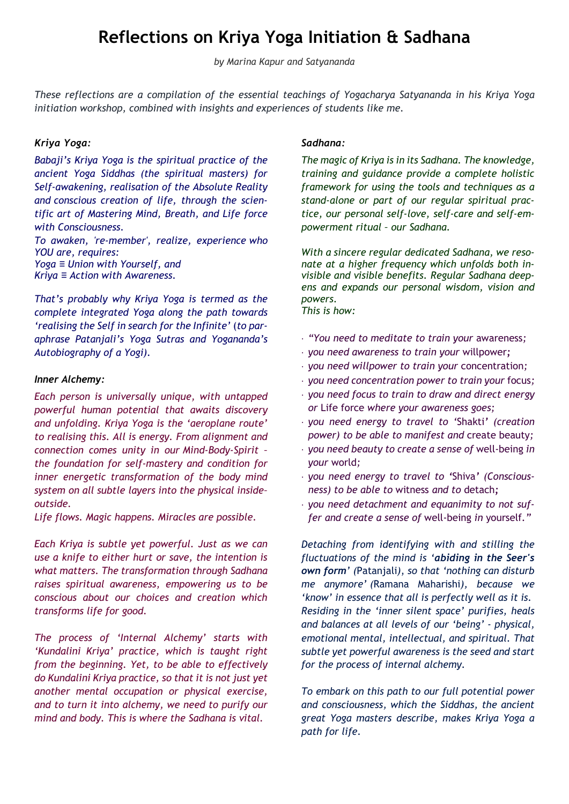# **Reflections on Kriya Yoga Initiation & Sadhana**

*by Marina Kapur and Satyananda*

*These reflections are a compilation of the essential teachings of Yogacharya Satyananda in his Kriya Yoga initiation workshop, combined with insights and experiences of students like me.*

#### *Kriya Yoga:*

*Babaji's Kriya Yoga is the spiritual practice of the ancient Yoga Siddhas (the spiritual masters) for Self-awakening, realisation of the Absolute Reality and conscious creation of life, through the scientific art of Mastering Mind, Breath, and Life force with Consciousness.*

*To awaken, 're-member', realize, experience who YOU are, requires: Yoga ≡ Union with Yourself, and Kriya ≡ Action with Awareness.*

*That's probably why Kriya Yoga is termed as the complete integrated Yoga along the path towards 'realising the Self in search for the Infinite'* (*to paraphrase Patanjali's Yoga Sutras and Yogananda's Autobiography of a Yogi).*

#### *Inner Alchemy:*

*Each person is universally unique, with untapped powerful human potential that awaits discovery and unfolding. Kriya Yoga is the 'aeroplane route' to realising this. All is energy. From alignment and connection comes unity in our Mind-Body-Spirit – the foundation for self-mastery and condition for inner energetic transformation of the body mind system on all subtle layers into the physical inside– outside.* 

*Life flows. Magic happens. Miracles are possible.*

*Each Kriya is subtle yet powerful. Just as we can use a knife to either hurt or save, the intention is what matters. The transformation through Sadhana raises spiritual awareness, empowering us to be conscious about our choices and creation which transforms life for good.* 

*The process of 'Internal Alchemy' starts with 'Kundalini Kriya' practice, which is taught right from the beginning. Yet, to be able to effectively do Kundalini Kriya practice, so that it is not just yet another mental occupation or physical exercise, and to turn it into alchemy, we need to purify our mind and body. This is where the Sadhana is vital.*

#### *Sadhana:*

*The magic of Kriya is in its Sadhana. The knowledge, training and guidance provide a complete holistic framework for using the tools and techniques as a stand-alone or part of our regular spiritual practice, our personal self-love, self-care and self-empowerment ritual – our Sadhana.*

*With a sincere regular dedicated Sadhana, we resonate at a higher frequency which unfolds both invisible and visible benefits. Regular Sadhana deepens and expands our personal wisdom, vision and powers. This is how:* 

- *"You need to meditate to train your* awareness*;*
- *you need awareness to train your* willpower*;*
- *you need willpower to train your* concentration*;*
- *you need concentration power to train your* focus*;*
- *you need focus to train to draw and direct energy or* Life force *where your awareness goes;*
- *you need energy to travel to '*Shakti*' (creation power) to be able to manifest and* create beauty*;*
- *you need beauty to create a sense of* well-being *in your* world*;*
- *you need energy to travel to '*Shiva*' (Consciousness) to be able to* witness *and to* detach*;*
- *you need detachment and equanimity to not suffer and create a sense of* well-being *in* yourself*."*

*Detaching from identifying with and stilling the fluctuations of the mind is 'abiding in the Seer's own form' (*Patanjali*)*, *so that 'nothing can disturb me anymore' (*Ramana Maharishi*), because we 'know' in essence that all is perfectly well as it is. Residing in the 'inner silent space' purifies, heals and balances at all levels of our 'being' - physical, emotional mental, intellectual, and spiritual. That subtle yet powerful awareness is the seed and start for the process of internal alchemy.* 

*To embark on this path to our full potential power and consciousness, which the Siddhas, the ancient great Yoga masters describe, makes Kriya Yoga a path for life.*